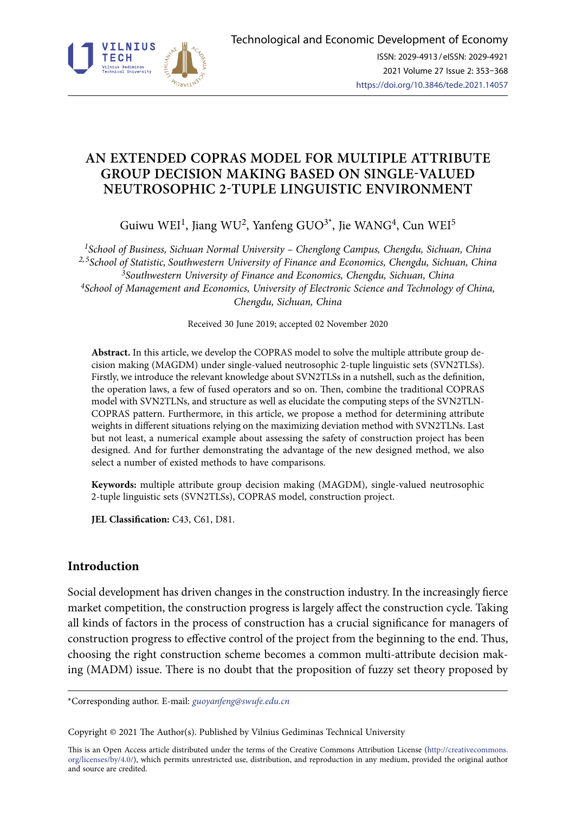

# **AN EXTENDED COPRAS MODEL FOR MULTIPLE ATTRIBUTE GROUP DECISION MAKING BASED ON SINGLE-VALUED NEUTROSOPHIC 2-TUPLE LINGUISTIC ENVIRONMENT**

Guiwu WEI<sup>1</sup>, Jiang WU<sup>2</sup>, Yanfeng GUO<sup>3\*</sup>, Jie WANG<sup>4</sup>, Cun WEI<sup>5</sup>

*1School of Business, Sichuan Normal University – Chenglong Campus, Chengdu, Sichuan, China 2, 5School of Statistic, Southwestern University of Finance and Economics, Chengdu, Sichuan, China 3Southwestern University of Finance and Economics, Chengdu, Sichuan, China 4[School of Management and Economics, University of Electronic Science and Technology of China](https://eng.oversea.cnki.net/kcms/detail/search.aspx?dbcode=CJFQ&sfield=inst&skey=School+of+Management+and+Economics%2c+University+of+Electronic+Science+and+Technology+of+China&code=), Chengdu, Sichuan, China*

Received 30 June 2019; accepted 02 November 2020

**Abstract.** In this article, we develop the COPRAS model to solve the multiple attribute group decision making (MAGDM) under single-valued neutrosophic 2-tuple linguistic sets (SVN2TLSs). Firstly, we introduce the relevant knowledge about SVN2TLSs in a nutshell, such as the definition, the operation laws, a few of fused operators and so on. Then, combine the traditional COPRAS model with SVN2TLNs, and structure as well as elucidate the computing steps of the SVN2TLN-COPRAS pattern. Furthermore, in this article, we propose a method for determining attribute weights in different situations relying on the maximizing deviation method with SVN2TLNs. Last but not least, a numerical example about assessing the safety of construction project has been designed. And for further demonstrating the advantage of the new designed method, we also select a number of existed methods to have comparisons.

**Keywords:** multiple attribute group decision making (MAGDM), single-valued neutrosophic 2-tuple linguistic sets (SVN2TLSs), COPRAS model, construction project.

**JEL Classification:** C43, C61, D81.

## **Introduction**

Social development has driven changes in the construction industry. In the increasingly fierce market competition, the construction progress is largely affect the construction cycle. Taking all kinds of factors in the process of construction has a crucial significance for managers of construction progress to effective control of the project from the beginning to the end. Thus, choosing the right construction scheme becomes a common multi-attribute decision making (MADM) issue. There is no doubt that the proposition of fuzzy set theory proposed by

\*Corresponding author. E-mail: *guoyanfeng@swufe.edu.cn*

Copyright © 2021 The Author(s). Published by Vilnius Gediminas Technical University

This is an Open Access article distributed under the terms of the Creative Commons Attribution License ([http://creativecommons.](http://dx.doi.org/10.1016/S0377-2217(03)00091-2) [org/licenses/by/4.0/\)](http://dx.doi.org/10.1016/S0377-2217(03)00091-2), which permits unrestricted use, distribution, and reproduction in any medium, provided the original author and source are credited.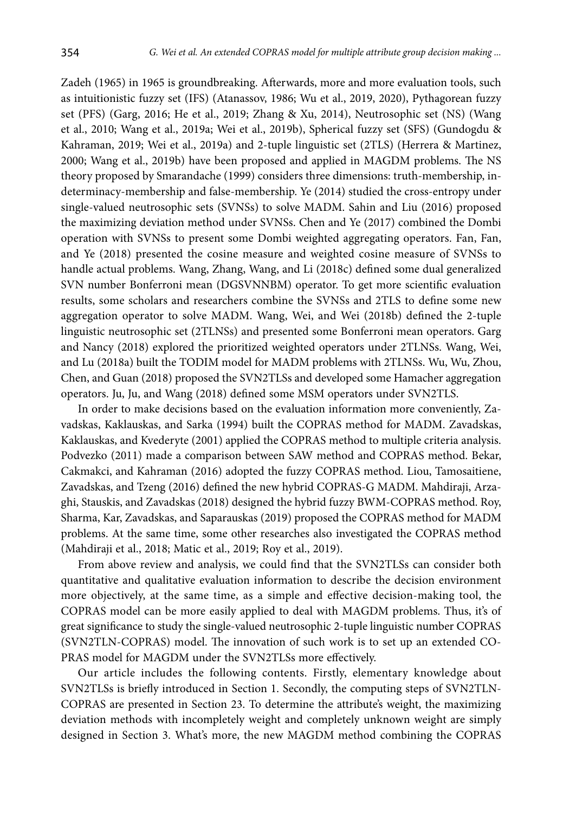Zadeh (1965) in 1965 is groundbreaking. Afterwards, more and more evaluation tools, such as intuitionistic fuzzy set (IFS) (Atanassov, 1986; Wu et al., 2019, 2020), Pythagorean fuzzy set (PFS) (Garg, 2016; He et al., 2019; Zhang & Xu, 2014), Neutrosophic set (NS) (Wang et al., 2010; Wang et al., 2019a; Wei et al., 2019b), Spherical fuzzy set (SFS) (Gundogdu & Kahraman, 2019; Wei et al., 2019a) and 2-tuple linguistic set (2TLS) (Herrera & Martinez, 2000; Wang et al., 2019b) have been proposed and applied in MAGDM problems. The NS theory proposed by Smarandache (1999) considers three dimensions: truth-membership, indeterminacy-membership and false-membership. Ye (2014) studied the cross-entropy under single-valued neutrosophic sets (SVNSs) to solve MADM. Sahin and Liu (2016) proposed the maximizing deviation method under SVNSs. Chen and Ye (2017) combined the Dombi operation with SVNSs to present some Dombi weighted aggregating operators. Fan, Fan, and Ye (2018) presented the cosine measure and weighted cosine measure of SVNSs to handle actual problems. Wang, Zhang, Wang, and Li (2018c) defined some dual generalized SVN number Bonferroni mean (DGSVNNBM) operator. To get more scientific evaluation results, some scholars and researchers combine the SVNSs and 2TLS to define some new aggregation operator to solve MADM. Wang, Wei, and Wei (2018b) defined the 2-tuple linguistic neutrosophic set (2TLNSs) and presented some Bonferroni mean operators. Garg and Nancy (2018) explored the prioritized weighted operators under 2TLNSs. Wang, Wei, and Lu (2018a) built the TODIM model for MADM problems with 2TLNSs. Wu, Wu, Zhou, Chen, and Guan (2018) proposed the SVN2TLSs and developed some Hamacher aggregation operators. Ju, Ju, and Wang (2018) defined some MSM operators under SVN2TLS.

In order to make decisions based on the evaluation information more conveniently, Zavadskas, Kaklauskas, and Sarka (1994) built the COPRAS method for MADM. Zavadskas, Kaklauskas, and Kvederyte (2001) applied the COPRAS method to multiple criteria analysis. Podvezko (2011) made a comparison between SAW method and COPRAS method. Bekar, Cakmakci, and Kahraman (2016) adopted the fuzzy COPRAS method. Liou, Tamosaitiene, Zavadskas, and Tzeng (2016) defined the new hybrid COPRAS-G MADM. Mahdiraji, Arzaghi, Stauskis, and Zavadskas (2018) designed the hybrid fuzzy BWM-COPRAS method. Roy, Sharma, Kar, Zavadskas, and Saparauskas (2019) proposed the COPRAS method for MADM problems. At the same time, some other researches also investigated the COPRAS method (Mahdiraji et al., 2018; Matic et al., 2019; Roy et al., 2019).

From above review and analysis, we could find that the SVN2TLSs can consider both quantitative and qualitative evaluation information to describe the decision environment more objectively, at the same time, as a simple and effective decision-making tool, the COPRAS model can be more easily applied to deal with MAGDM problems. Thus, it's of great significance to study the single-valued neutrosophic 2-tuple linguistic number COPRAS (SVN2TLN-COPRAS) model. The innovation of such work is to set up an extended CO-PRAS model for MAGDM under the SVN2TLSs more effectively.

Our article includes the following contents. Firstly, elementary knowledge about SVN2TLSs is briefly introduced in Section 1. Secondly, the computing steps of SVN2TLN-COPRAS are presented in Section 23. To determine the attribute's weight, the maximizing deviation methods with incompletely weight and completely unknown weight are simply designed in Section 3. What's more, the new MAGDM method combining the COPRAS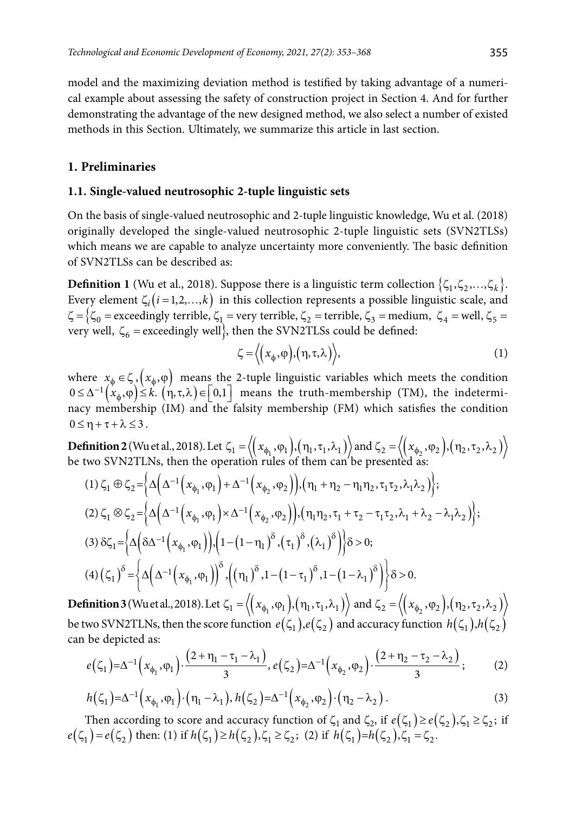model and the maximizing deviation method is testified by taking advantage of a numerical example about assessing the safety of construction project in Section 4. And for further demonstrating the advantage of the new designed method, we also select a number of existed methods in this Section. Ultimately, we summarize this article in last section.

### **1. Preliminaries**

### **1.1. Single-valued neutrosophic 2-tuple linguistic sets**

On the basis of single-valued neutrosophic and 2-tuple linguistic knowledge, Wu et al. (2018) originally developed the single-valued neutrosophic 2-tuple linguistic sets (SVN2TLSs) which means we are capable to analyze uncertainty more conveniently. The basic definition of SVN2TLSs can be described as:

**Definition 1** (Wu et al., 2018). Suppose there is a linguistic term collection  $\{\zeta_1, \zeta_2, ..., \zeta_k\}$ . Every element  $\zeta_i(i=1,2,...,k)$  in this collection represents a possible linguistic scale, and  $\zeta = \zeta_0 =$  exceedingly terrible,  $\zeta_1 =$  very terrible,  $\zeta_2 =$  terrible,  $\zeta_3 =$  medium,  $\zeta_4 =$  well,  $\zeta_5 =$ very well,  $\zeta_6$  = exceedingly well, then the SVN2TLSs could be defined:

$$
\zeta = \langle \left( x_{\phi}, \varphi \right), \left( \eta, \tau, \lambda \right) \rangle, \tag{1}
$$

where  $x_{\phi} \in \zeta$ ,  $(x_{\phi}, \varphi)$  means the 2-tuple linguistic variables which meets the condition  $0 \leq \Delta^{-1}(x_{\phi}, \varphi) \leq k$ .  $(n, \tau, \lambda) \in [0,1]$  means the truth-membership (TM), the indeterminacy membership (IM) and the falsity membership (FM) which satisfies the condition  $0 \leq \eta + \tau + \lambda \leq 3$ .

**Definition 2** (Wu et al., 2018). Let  $\zeta_1 = \left\langle \left( x_{\phi_1}, \varphi_1 \right), \left( \eta_1, \tau_1, \lambda_1 \right) \right\rangle$  and  $\zeta_2 = \left\langle \left( x_{\phi_2}, \varphi_2 \right), \left( \eta_2, \tau_2, \lambda_2 \right) \right\rangle$ be two SVN2TLNs, then the operation rules of them can'be presented as:

$$
(1) \zeta_{1} \oplus \zeta_{2} = \Big\{ \Delta \Big( \Delta^{-1} \Big( x_{\phi_{1}}, \varphi_{1} \Big) + \Delta^{-1} \Big( x_{\phi_{2}}, \varphi_{2} \Big) \Big), (\eta_{1} + \eta_{2} - \eta_{1} \eta_{2}, \tau_{1} \tau_{2}, \lambda_{1} \lambda_{2}) \Big\};
$$
\n
$$
(2) \zeta_{1} \otimes \zeta_{2} = \Big\{ \Delta \Big( \Delta^{-1} \Big( x_{\phi_{1}}, \varphi_{1} \Big) \times \Delta^{-1} \Big( x_{\phi_{2}}, \varphi_{2} \Big) \Big), (\eta_{1} \eta_{2}, \tau_{1} + \tau_{2} - \tau_{1} \tau_{2}, \lambda_{1} + \lambda_{2} - \lambda_{1} \lambda_{2}) \Big\};
$$
\n
$$
(3) \delta \zeta_{1} = \Big\{ \Delta \Big( \delta \Delta^{-1} \Big( x_{\phi_{1}}, \varphi_{1} \Big) \Big), \Big( 1 - \Big( 1 - \eta_{1} \Big)^{\delta}, \Big( \tau_{1} \Big)^{\delta}, \Big( \lambda_{1} \Big)^{\delta} \Big) \Big\} \delta > 0;
$$
\n
$$
(4) \Big( \zeta_{1} \Big)^{\delta} = \Big\{ \Delta \Big( \Delta^{-1} \Big( x_{\phi_{1}}, \varphi_{1} \Big) \Big)^{\delta}, \Big( \big( \eta_{1} \big)^{\delta}, 1 - \Big( 1 - \tau_{1} \Big)^{\delta}, 1 - \Big( 1 - \lambda_{1} \Big)^{\delta} \Big) \Big\} \delta > 0.
$$

**Definition 3** (Wu et al., 2018). Let  $\zeta_1 = \langle (x_{\phi_1}, \varphi_1), (\eta_1, \tau_1, \lambda_1) \rangle$  and  $\zeta_2 = \langle (x_{\phi_2}, \varphi_2), (\eta_2, \tau_2, \lambda_2) \rangle$ be two SVN2TLNs, then the score function  $e(\zeta_1), e(\zeta_2)$  and accuracy function  $h(\zeta_1), h(\zeta_2)$ can be depicted as:

$$
e(\zeta_1) = \Delta^{-1}\Big(x_{\phi_1}, \phi_1\Big) \cdot \frac{\Big(2 + \eta_1 - \tau_1 - \lambda_1\Big)}{3}, e(\zeta_2) = \Delta^{-1}\Big(x_{\phi_2}, \phi_2\Big) \cdot \frac{\Big(2 + \eta_2 - \tau_2 - \lambda_2\Big)}{3};\tag{2}
$$

$$
h(\zeta_1) = \Delta^{-1} (x_{\phi_1}, \phi_1) \cdot (\eta_1 - \lambda_1), h(\zeta_2) = \Delta^{-1} (x_{\phi_2}, \phi_2) \cdot (\eta_2 - \lambda_2).
$$
\n(3)

Then according to score and accuracy function of  $\zeta_1$  and  $\zeta_2$ , if  $e(\zeta_1) \geq e(\zeta_2)$ ,  $\zeta_1 \geq \zeta_2$ ; if  $e(\zeta_1) = e(\zeta_2)$  then: (1) if  $h(\zeta_1) \ge h(\zeta_2), \zeta_1 \ge \zeta_2$ ; (2) if  $h(\zeta_1) = h(\zeta_2), \zeta_1 = \zeta_2$ .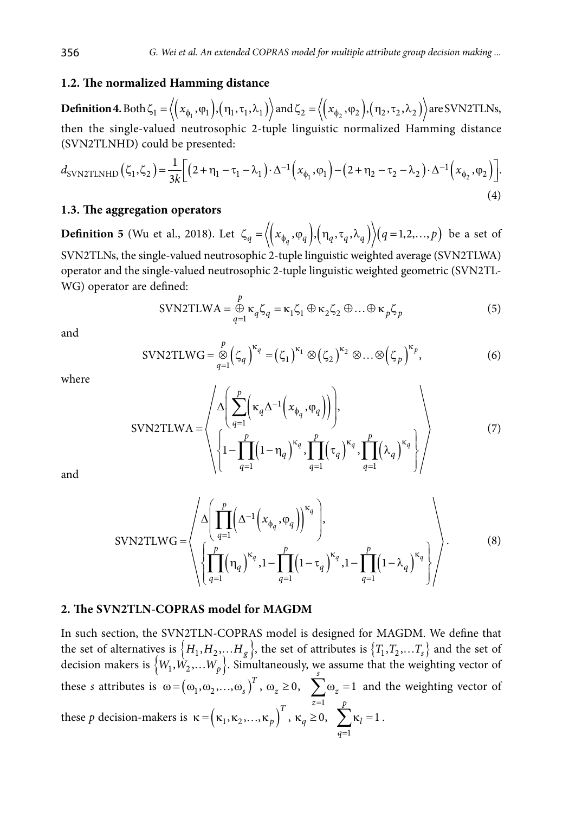### **1.2. The normalized Hamming distance**

**Definition 4.** Both  $\zeta_1 = \langle (x_{\phi_1}, \varphi_1), (\eta_1, \tau_1, \lambda_1) \rangle$  and  $\zeta_2 = \langle (x_{\phi_2}, \varphi_2), (\eta_2, \tau_2, \lambda_2) \rangle$  are SVN2TLNs, then the single-valued neutrosophic 2-tuple linguistic normalized Hamming distance (SVN2TLNHD) could be presented:

$$
d_{\text{SVN2TLNHD}}(\zeta_1, \zeta_2) = \frac{1}{3k} \Big[ \Big( 2 + \eta_1 - \tau_1 - \lambda_1 \Big) \cdot \Delta^{-1} \Big( x_{\phi_1}, \varphi_1 \Big) - \Big( 2 + \eta_2 - \tau_2 - \lambda_2 \Big) \cdot \Delta^{-1} \Big( x_{\phi_2}, \varphi_2 \Big) \Big]. \tag{4}
$$

#### **1.3. The aggregation operators**

**Definition 5** (Wu et al., 2018). Let  $\zeta_q = \langle (x_{\phi_q}, \varphi_q), (\eta_q, \tau_q, \lambda_q) \rangle (q=1,2,...,p)$  be a set of SVN2TLNs, the single-valued neutrosophic 2-tuple linguistic weighted average (SVN2TLWA)

operator and the single-valued neutrosophic 2-tuple linguistic weighted geometric (SVN2TL-WG) operator are defined:

$$
SUN2TLWA = \bigoplus_{q=1}^{p} \kappa_q \zeta_q = \kappa_1 \zeta_1 \oplus \kappa_2 \zeta_2 \oplus \ldots \oplus \kappa_p \zeta_p \tag{5}
$$

and

$$
\text{SVN2TLWG} = \bigotimes_{q=1}^{p} \left( \zeta_q \right)^{\kappa_q} = \left( \zeta_1 \right)^{\kappa_1} \otimes \left( \zeta_2 \right)^{\kappa_2} \otimes \dots \otimes \left( \zeta_p \right)^{\kappa_p},\tag{6}
$$

where

$$
SVN2TLWA = \left\langle \Delta \left( \sum_{q=1}^{p} \left( \kappa_q \Delta^{-1} \left( x_{\phi_q}, \varphi_q \right) \right) \right), \right\} \atop \left\{ 1 - \prod_{q=1}^{p} \left( 1 - \eta_q \right)^{\kappa_q}, \prod_{q=1}^{p} \left( \tau_q \right)^{\kappa_q}, \prod_{q=1}^{p} \left( \lambda_q \right)^{\kappa_q} \right\} \right\rangle
$$
(7)

and

$$
SVN2TLWG = \left\langle \Delta \left( \prod_{q=1}^{p} \left( \Delta^{-1} \left( x_{\phi_q}, \varphi_q \right) \right)^{\kappa_q} \right), \right\langle \left\{ \prod_{q=1}^{p} \left( \eta_q \right)^{\kappa_q}, 1 - \prod_{q=1}^{p} \left( 1 - \tau_q \right)^{\kappa_q}, 1 - \prod_{q=1}^{p} \left( 1 - \lambda_q \right)^{\kappa_q} \right\} \right\rangle. \tag{8}
$$

#### **2. The SVN2TLN-COPRAS model for MAGDM**

In such section, the SVN2TLN-COPRAS model is designed for MAGDM. We define that the set of alternatives is  ${H_1, H_2, ..., H_g}$ , the set of attributes is  ${T_1, T_2, ..., T_s}$  and the set of decision makers is  ${W_1, W_2, ... W_p}$ . Simultaneously, we assume that the weighting vector of these *s* attributes is  $\omega = (\omega_1, \omega_2, ..., \omega_s)^T$ ,  $\omega_z \ge 0$ ,  $\sum \omega_z = 1$ 1 *z*= *s*  $\sum \omega_z = 1$  and the weighting vector of these p decision-makers is  $\kappa = (\kappa_1, \kappa_2, ..., \kappa_p)^T$ ,  $\kappa_q \ge 0$ , 1  $\sum_{l} \kappa_l = 1$ *p l*  $\sum_{q=1}^{1} \kappa_l = 1.$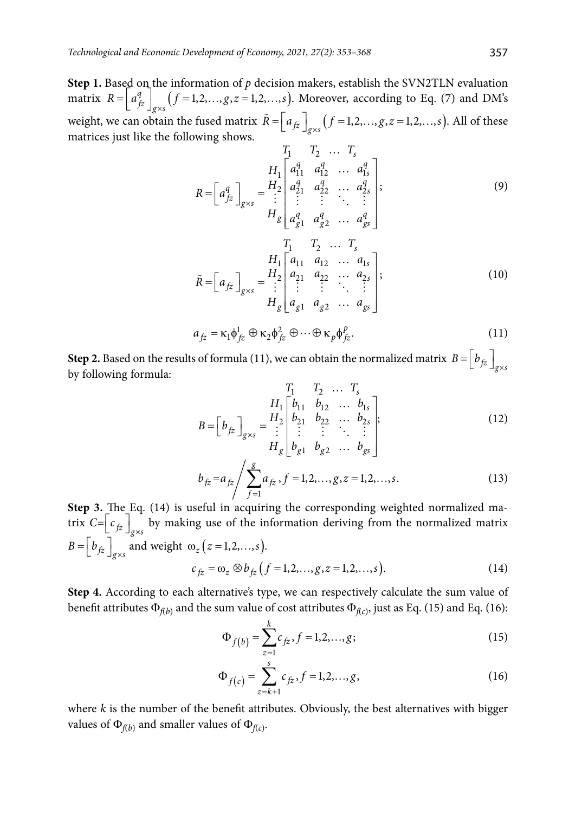**Step 1.** Based on the information of  $p$  decision makers, establish the SVN2TLN evaluation matrix  $R = \begin{bmatrix} a_{fz}^q \end{bmatrix}_{g \times s}$   $(f = 1,2,...,g, z = 1,2,...,s)$ . Moreover, according to Eq. (7) and DM's weight, we can obtain the fused matrix  $\tilde{R} = \left[ a_{fz} \right]_{g\times s} (f = 1, 2, \ldots, g, z = 1, 2, \ldots, s)$ . All of these matrices just like the following shows.

$$
R = \begin{bmatrix} a_{f2}^q \end{bmatrix}_{g \times s} = \frac{H_1}{H_1} \begin{bmatrix} a_{11}^q & a_{12}^q & \dots & a_{1s}^q \\ a_{21}^q & a_{22}^q & \dots & a_{2s}^q \\ \vdots & \vdots & \ddots & \vdots \\ a_{g1}^q & a_{g2}^q & \dots & a_{gs}^q \end{bmatrix};
$$
\n
$$
\tilde{R} = \begin{bmatrix} a_{f2}^q \end{bmatrix}_{g \times s} = \frac{H_1}{H_2} \begin{bmatrix} a_{11} & a_{12} & \dots & a_{1s} \\ a_{21}^q & a_{22}^q & \dots & a_{1s} \\ \vdots & \vdots & \ddots & \vdots \\ a_{g1}^q & a_{g2}^q & \dots & a_{2s}^q \end{bmatrix};
$$
\n(10)

$$
a_{fz} = \kappa_1 \phi_{fz}^1 \oplus \kappa_2 \phi_{fz}^2 \oplus \cdots \oplus \kappa_p \phi_{fz}^p.
$$
 (11)

**Step 2.** Based on the results of formula (11), we can obtain the normalized matrix  $B = \left[ b_{fz} \right]_{g \times s}$ by following formula:

$$
B = \begin{bmatrix} b_{fz} \end{bmatrix}_{g \times s} = \begin{bmatrix} T_1 & T_2 & \dots & T_s \\ H_1 \begin{bmatrix} b_{11} & b_{12} & \dots & b_{1s} \\ b_{21} & b_{22} & \dots & b_{2s} \\ \vdots & \vdots & \ddots & \vdots \\ H_g \end{bmatrix}_{g \times s} \begin{bmatrix} H_2 \end{bmatrix}_{g \times s} \begin{bmatrix} 12 \end{bmatrix}
$$

$$
b_{f\bar{z}} = a_{f\bar{z}} / \sum_{f=1}^{g} a_{f\bar{z}}, f = 1, 2, \dots, g, z = 1, 2, \dots, s.
$$
 (13)

 <sup>1</sup> **Step 3.** The Eq. (14) is useful in acquiring the corresponding weighted normalized matrix  $C = \left[ c_{fz} \right]_{g \times s}$  by making use of the information deriving from the normalized matrix  $B = \left[ b_{fz} \right]_{g \times s}$  and weight  $\omega_z (z = 1, 2, \ldots, s)$ .  $c_{fz} = \omega_z \otimes b_{fz} (f = 1, 2, \dots, g, z = 1, 2, \dots, s).$  (14)

**Step 4.** According to each alternative's type, we can respectively calculate the sum value of benefit attributes  $\Phi_{f(b)}$  and the sum value of cost attributes  $\Phi_{f(c)}$ , just as Eq. (15) and Eq. (16):

$$
\Phi_{f(b)} = \sum_{z=1}^{k} c_{f\overline{z}}, f = 1, 2, ..., g;
$$
\n(15)

$$
\Phi_{f(c)} = \sum_{z=k+1}^{s} c_{f\bar{z}}, f = 1, 2, ..., g,
$$
\n(16)

where *k* is the number of the benefit attributes. Obviously, the best alternatives with bigger values of  $\Phi_{f(b)}$  and smaller values of  $\Phi_{f(c)}$ .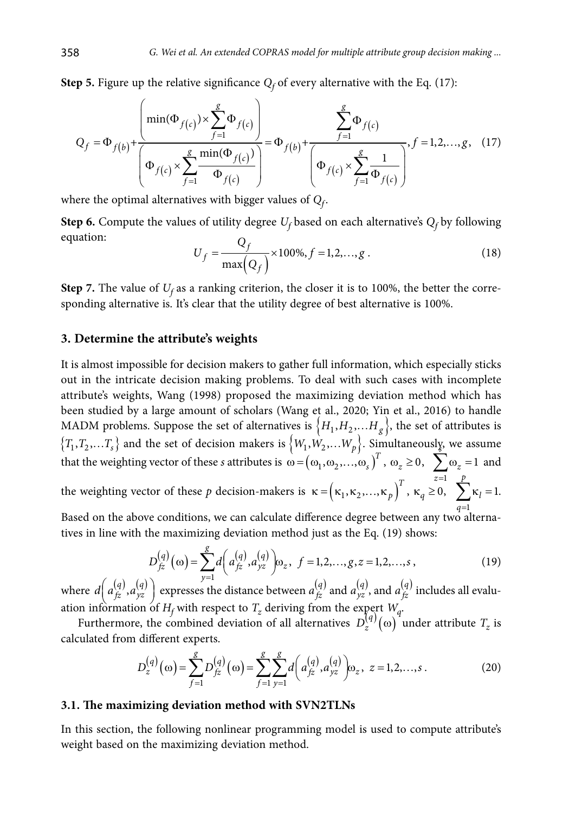**Step 5.** Figure up the relative significance  $Q_f$  of every alternative with the Eq. (17):

$$
Q_{f} = \Phi_{f(b)} + \frac{\left(\min(\Phi_{f(c)}) \times \sum_{f=1}^{g} \Phi_{f(c)}\right)}{\left(\Phi_{f(c)} \times \sum_{f=1}^{g} \frac{\min(\Phi_{f(c)})}{\Phi_{f(c)}}\right)} = \Phi_{f(b)} + \frac{\sum_{f=1}^{g} \Phi_{f(c)}}{\left(\Phi_{f(c)} \times \sum_{f=1}^{g} \frac{1}{\Phi_{f(c)}}\right)}, f = 1, 2, ..., g, (17)
$$

where the optimal alternatives with bigger values of  $Q_f$ .

**Step 6.** Compute the values of utility degree  $U_f$  based on each alternative's  $Q_f$  by following equation:

$$
U_f = \frac{Q_f}{\max(Q_f)} \times 100\%, f = 1, 2, ..., g.
$$
 (18)

**Step 7.** The value of  $U_f$  as a ranking criterion, the closer it is to 100%, the better the corresponding alternative is. It's clear that the utility degree of best alternative is 100%.

### **3. Determine the attribute's weights**

It is almost impossible for decision makers to gather full information, which especially sticks out in the intricate decision making problems. To deal with such cases with incomplete attribute's weights, Wang (1998) proposed the maximizing deviation method which has been studied by a large amount of scholars (Wang et al., 2020; Yin et al., 2016) to handle MADM problems. Suppose the set of alternatives is  $\{H_1, H_2, \ldots, H_g\}$ , the set of attributes is  ${T_1, T_2,...T_s}$  and the set of decision makers is  ${W_1, W_2,...W_p}$ . Simultaneously, we assume that the weighting vector of these *s* attributes is  $\omega = (\omega_1, \omega_2, ..., \omega_s)^T$ ,  $\omega_z \ge 0$ ,  $\sum \omega_z = 1$  and *p*

1 *z*= the weighting vector of these p decision-makers is  $\kappa = (\kappa_1, \kappa_2, ..., \kappa_p)$ <sup>*T*</sup>,  $\kappa_q \ge 0$ , 1  $\sum_{l} \kappa_l = 1$ *l*  $\sum_{q=1}^{6} \kappa_l = 1.$ 

Based on the above conditions, we can calculate difference degree between any two alternatives in line with the maximizing deviation method just as the Eq. (19) shows:

$$
D_{fz}^{(q)}(\omega) = \sum_{y=1}^{g} d\left(a_{fz}^{(q)}, a_{yz}^{(q)}\right) \omega_z, \ f = 1, 2, ..., g, z = 1, 2, ..., s,
$$
 (19)

where  $d\left(a_{jz}^{(q)}, a_{yz}^{(q)}\right)$  expresses the distance between  $a_{jz}^{(q)}$  and  $a_{yz}^{(q)}$ , and  $a_{jz}^{(q)}$  includes all evaluation information of  $H_f$  with respect to  $T_z$  deriving from the expert  $W_q$ .

Furthermore, the combined deviation of all alternatives  $D_z^{(q)}(\omega)$  under attribute  $T_z$  is calculated from different experts.

$$
D_z^{(q)}(\omega) = \sum_{f=1}^{g} D_{fz}^{(q)}(\omega) = \sum_{f=1}^{g} \sum_{y=1}^{g} d\left(a_{fz}^{(q)}, a_{yz}^{(q)}\right) \omega_z, \ z = 1, 2, ..., s. \tag{20}
$$

### **3.1. The maximizing deviation method with SVN2TLNs**

In this section, the following nonlinear programming model is used to compute attribute's weight based on the maximizing deviation method.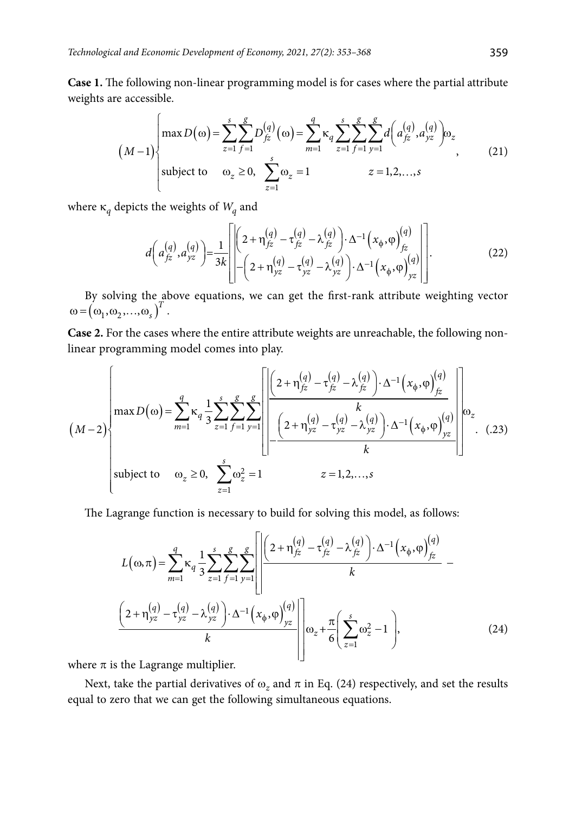**Case 1.** The following non-linear programming model is for cases where the partial attribute weights are accessible.

$$
(M-1)\begin{cases}\n\max D(\omega) = \sum_{z=1}^{s} \sum_{f=1}^{g} D_{f\bar{z}}^{(q)}(\omega) = \sum_{m=1}^{g} \kappa_q \sum_{z=1}^{s} \sum_{f=1}^{g} \sum_{y=1}^{g} d\left(a_{f\bar{z}}^{(q)}, a_{yz}^{(q)}\right) \omega_z \\
\text{subject to} \quad \omega_z \ge 0, \quad \sum_{z=1}^{s} \omega_z = 1 \qquad \qquad z = 1, 2, ..., s\n\end{cases}
$$
\n(21)

where  $\kappa_q$  depicts the weights of  $W_q$  and

$$
d\left(a_{fz}^{(q)}, a_{yz}^{(q)}\right) = \frac{1}{3k} \left[ \left[ \left(2 + \eta_{fz}^{(q)} - \tau_{fz}^{(q)} - \lambda_{fz}^{(q)}\right) \cdot \Delta^{-1} \left(x_{\phi}, \varphi\right)_{fz}^{(q)}\right] \cdot \left[ \left(2 + \eta_{yz}^{(q)} - \tau_{yz}^{(q)} - \lambda_{yz}^{(q)}\right) \cdot \Delta^{-1} \left(x_{\phi}, \varphi\right)_{yz}^{(q)} \right] \right].
$$
 (22)

By solving the above equations, we can get the first-rank attribute weighting vector  $\omega = (\omega_1, \omega_2, ..., \omega_s)^T$ .

**Case 2.** For the cases where the entire attribute weights are unreachable, the following nonlinear programming model comes into play.

$$
(M-2)\n\begin{bmatrix}\n\max D(\omega) = \sum_{m=1}^{q} \kappa_q \frac{1}{3} \sum_{z=1}^{s} \sum_{f=1}^{g} \sum_{y=1}^{g} \left[ \frac{\left(2 + \eta_{fz}^{(q)} - \tau_{fz}^{(q)} - \lambda_{fz}^{(q)}\right) \cdot \Delta^{-1} \left(x_{\phi}, \varphi\right)_{fz}^{(q)}}{k} \right] \frac{k}{k} \\
\text{subject to} \quad \omega_z \ge 0, \quad \sum_{z=1}^{s} \omega_z^2 = 1\n\end{bmatrix}\n\begin{bmatrix}\n2 + \eta_{yz}^{(q)} - \tau_{yz}^{(q)} - \lambda_{yz}^{(q)}\right) \cdot \Delta^{-1} \left(x_{\phi}, \varphi\right)_{yz}^{(q)}}{k}\n\end{bmatrix}\n\begin{bmatrix}\n\omega_z \\
\omega_z\n\end{bmatrix}.
$$
\n(.23)

The Lagrange function is necessary to build for solving this model, as follows:

$$
L(\omega,\pi) = \sum_{m=1}^{q} \kappa_{q} \frac{1}{3} \sum_{z=1}^{s} \sum_{f=1}^{g} \sum_{y=1}^{g} \left[ \frac{\left( 2 + \eta_{\hat{z}}^{(q)} - \tau_{\hat{z}}^{(q)} - \lambda_{\hat{z}}^{(q)} \right) \cdot \Delta^{-1} \left( x_{\phi}, \varphi \right)_{\hat{z}}^{(q)}}{k} - \frac{\left( 2 + \eta_{yz}^{(q)} - \tau_{yz}^{(q)} - \lambda_{yz}^{(q)} \right) \cdot \Delta^{-1} \left( x_{\phi}, \varphi \right)_{yz}^{(q)}}{k} \right] \omega_{z} + \frac{\pi}{6} \left( \sum_{z=1}^{s} \omega_{z}^{2} - 1 \right), \tag{24}
$$

where  $\pi$  is the Lagrange multiplier.

Next, take the partial derivatives of  $\omega_z$  and  $\pi$  in Eq. (24) respectively, and set the results equal to zero that we can get the following simultaneous equations.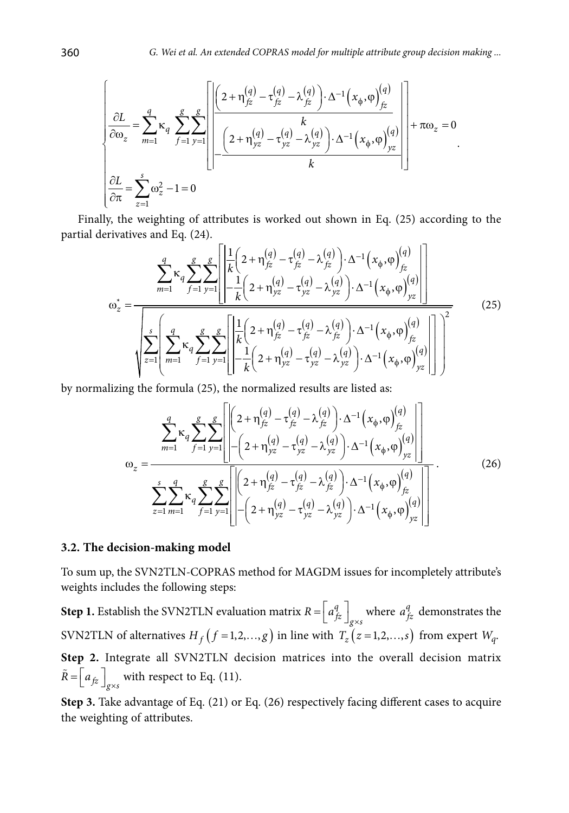$$
\left\{\underbrace{\frac{\partial L}{\partial \omega_z}}_{\mathcal{I}} = \sum_{m=1}^{q} \kappa_q \sum_{f=1}^{g} \sum_{y=1}^{g} \left[\underbrace{\left[\left(2 + \eta_{fz}^{(q)} - \tau_{fz}^{(q)} - \lambda_{fz}^{(q)}\right) \cdot \Delta^{-1}\left(x_{\phi}, \varphi\right)_{fz}^{(q)}\right]}_{k} + \pi \omega_z = 0 \cdot \frac{\partial L}{\partial \pi} = \sum_{z=1}^{s} \omega_z^2 - 1 = 0 \cdot \frac{\partial L}{\partial \pi} = 0 \cdot \frac{\partial L}{\partial \pi} = 0 \cdot \frac{\partial L}{\partial \pi} = 0 \cdot \frac{\partial L}{\partial \pi} = 0 \cdot \frac{\partial L}{\partial \pi} = 0 \cdot \frac{\partial L}{\partial \pi} = 0 \cdot \frac{\partial L}{\partial \pi} = 0 \cdot \frac{\partial L}{\partial \pi} = 0 \cdot \frac{\partial L}{\partial \pi} = 0 \cdot \frac{\partial L}{\partial \pi} = 0 \cdot \frac{\partial L}{\partial \pi} = 0 \cdot \frac{\partial L}{\partial \pi} = 0 \cdot \frac{\partial L}{\partial \pi} = 0 \cdot \frac{\partial L}{\partial \pi} = 0 \cdot \frac{\partial L}{\partial \pi} = 0 \cdot \frac{\partial L}{\partial \pi} = 0 \cdot \frac{\partial L}{\partial \pi} = 0 \cdot \frac{\partial L}{\partial \pi} = 0 \cdot \frac{\partial L}{\partial \pi} = 0 \cdot \frac{\partial L}{\partial \pi} = 0 \cdot \frac{\partial L}{\partial \pi} = 0 \cdot \frac{\partial L}{\partial \pi} = 0 \cdot \frac{\partial L}{\partial \pi} = 0 \cdot \frac{\partial L}{\partial \pi} = 0 \cdot \frac{\partial L}{\partial \pi} = 0 \cdot \frac{\partial L}{\partial \pi} = 0 \cdot \frac{\partial L}{\partial \pi} = 0 \cdot \frac{\partial L}{\partial \pi} = 0 \cdot \frac{\partial L}{\partial \pi} = 0 \cdot \frac{\partial L}{\partial \pi} = 0 \cdot \frac{\partial L}{\partial \pi} = 0 \cdot \frac{\partial L}{\partial \pi} = 0 \cdot \frac{\partial L}{\partial \pi} = 0 \cdot \frac{\partial L}{\partial \pi} = 0 \cdot \frac{\partial L}{\partial \pi} = 0 \cdot \frac{\partial L}{\partial \pi} = 0
$$

Finally, the weighting of attributes is worked out shown in Eq. (25) according to the partial derivatives and Eq. (24).

$$
\omega_{z}^{*} = \frac{\sum_{m=1}^{q} \kappa_{q} \sum_{f=1}^{g} \sum_{y=1}^{g} \left| \frac{\frac{1}{k} \left( 2 + \eta_{jz}^{(q)} - \tau_{jz}^{(q)} - \lambda_{jz}^{(q)} \right) \cdot \Delta^{-1} \left( x_{\phi}, \varphi \right)_{jz}^{(q)}}{\sqrt{\sum_{z=1}^{s} \left( \sum_{m=1}^{q} \kappa_{q} \sum_{f=1}^{g} \sum_{y=1}^{g} \left| \frac{\frac{1}{k} \left( 2 + \eta_{jz}^{(q)} - \tau_{yz}^{(q)} - \lambda_{yz}^{(q)} \right) \cdot \Delta^{-1} \left( x_{\phi}, \varphi \right)_{jz}^{(q)} \right|}{\sqrt{\sum_{z=1}^{s} \left( \sum_{m=1}^{q} \kappa_{q} \sum_{f=1}^{g} \sum_{y=1}^{g} \left| \frac{\frac{1}{k} \left( 2 + \eta_{jz}^{(q)} - \tau_{jz}^{(q)} - \lambda_{jz}^{(q)} \right) \cdot \Delta^{-1} \left( x_{\phi}, \varphi \right)_{jz}^{(q)} \right|}{\sqrt{\sum_{z=1}^{s} \left( \sum_{m=1}^{q} \kappa_{q} \sum_{f=1}^{g} \sum_{y=1}^{g} \left| \frac{\frac{1}{k} \left( 2 + \eta_{jz}^{(q)} - \tau_{jz}^{(q)} - \lambda_{jz}^{(q)} \right) \cdot \Delta^{-1} \left( x_{\phi}, \varphi \right)_{jz}^{(q)} \right|}{\sqrt{\sum_{z=1}^{s} \left( x_{\phi}, \varphi \right)_{jz}^{(q)} \right|}} \right)^{2}}
$$
(25)

by normalizing the formula (25), the normalized results are listed as:

$$
\omega_{z} = \frac{\sum_{m=1}^{q} \kappa_{q} \sum_{f=1}^{g} \sum_{y=1}^{g} \left[ \left[ \left( 2 + \eta_{fz}^{(q)} - \tau_{fz}^{(q)} - \lambda_{fz}^{(q)} \right) \cdot \Delta^{-1} \left( x_{\phi}, \varphi \right)_{fz}^{(q)} \right] \right]}{\sum_{z=1}^{s} \sum_{m=1}^{q} \kappa_{q} \sum_{f=1}^{g} \sum_{y=1}^{g} \left[ \left[ \left( 2 + \eta_{fz}^{(q)} - \tau_{fz}^{(q)} - \lambda_{fz}^{(q)} \right) \cdot \Delta^{-1} \left( x_{\phi}, \varphi \right)_{fz}^{(q)} \right] \right]}.
$$
\n
$$
\sum_{z=1}^{s} \sum_{m=1}^{q} \kappa_{q} \sum_{f=1}^{g} \sum_{y=1}^{g} \left[ \left[ \left( 2 + \eta_{fz}^{(q)} - \tau_{fz}^{(q)} - \lambda_{fz}^{(q)} \right) \cdot \Delta^{-1} \left( x_{\phi}, \varphi \right)_{fz}^{(q)} \right] \right].
$$
\n(26)

#### **3.2. The decision-making model**

To sum up, the SVN2TLN-COPRAS method for MAGDM issues for incompletely attribute's weights includes the following steps:

**Step 1.** Establish the SVN2TLN evaluation matrix  $R = \begin{bmatrix} a_{fz}^q \end{bmatrix}_{g \times s}$  where  $a_{fz}^q$  demonstrates the SVN2TLN of alternatives  $H_f$   $(f = 1, 2, ..., g)$  in line with  $T_z$   $(z = 1, 2, ..., s)$  from expert  $W_q$ . **Step 2.** Integrate all SVN2TLN decision matrices into the overall decision matrix  $\tilde{R} = \left[ a_{fz} \right]_{g \times s}$  with respect to Eq. (11).

**Step 3.** Take advantage of Eq. (21) or Eq. (26) respectively facing different cases to acquire the weighting of attributes.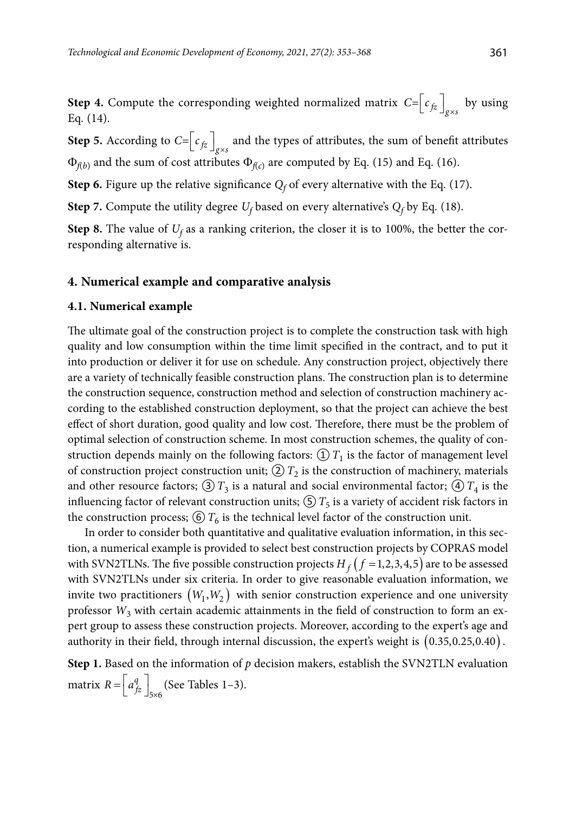**Step 4.** Compute the corresponding weighted normalized matrix  $C = \left[ c_{fz} \right]_{g \times s}$  by using Eq. (14).

**Step 5.** According to  $C = \left[ c_{fz} \right]_{g \times s}$  and the types of attributes, the sum of benefit attributes  $\Phi_{f(b)}$  and the sum of cost attributes  $\Phi_{f(c)}$  are computed by Eq. (15) and Eq. (16).

**Step 6.** Figure up the relative significance  $Q_f$  of every alternative with the Eq. (17).

**Step 7.** Compute the utility degree  $U_f$  based on every alternative's  $Q_f$  by Eq. (18).

**Step 8.** The value of  $U_f$  as a ranking criterion, the closer it is to 100%, the better the corresponding alternative is.

#### **4. Numerical example and comparative analysis**

### **4.1. Numerical example**

The ultimate goal of the construction project is to complete the construction task with high quality and low consumption within the time limit specified in the contract, and to put it into production or deliver it for use on schedule. Any construction project, objectively there are a variety of technically feasible construction plans. The construction plan is to determine the construction sequence, construction method and selection of construction machinery according to the established construction deployment, so that the project can achieve the best effect of short duration, good quality and low cost. Therefore, there must be the problem of optimal selection of construction scheme. In most construction schemes, the quality of construction depends mainly on the following factors:  $\mathcal{D}T_1$  is the factor of management level of construction project construction unit;  $\mathcal{D}T_2$  is the construction of machinery, materials and other resource factors;  $\textcircled{3}$   $T_3$  is a natural and social environmental factor;  $\textcircled{4}$   $T_4$  is the influencing factor of relevant construction units;  $\textcircled{S}$  T<sub>5</sub> is a variety of accident risk factors in the construction process;  $\left(\frac{\epsilon}{\epsilon}\right)T_6$  is the technical level factor of the construction unit.

In order to consider both quantitative and qualitative evaluation information, in this section, a numerical example is provided to select best construction projects by COPRAS model with SVN2TLNs. The five possible construction projects  $H_f(f=1,2,3,4,5)$  are to be assessed with SVN2TLNs under six criteria. In order to give reasonable evaluation information, we invite two practitioners  $(W_1, W_2)$  with senior construction experience and one university professor  $W_3$  with certain academic attainments in the field of construction to form an expert group to assess these construction projects. Moreover, according to the expert's age and authority in their field, through internal discussion, the expert's weight is (0.35,0.25,0.40) .

**Step 1.** Based on the information of  $p$  decision makers, establish the SVN2TLN evaluation matrix  $R = \left[ a_{fz}^q \right]_{5 \times 6}$  $R = \left[ a_{fz}^q \right]_{5 \times 6}$  (See Tables 1–3).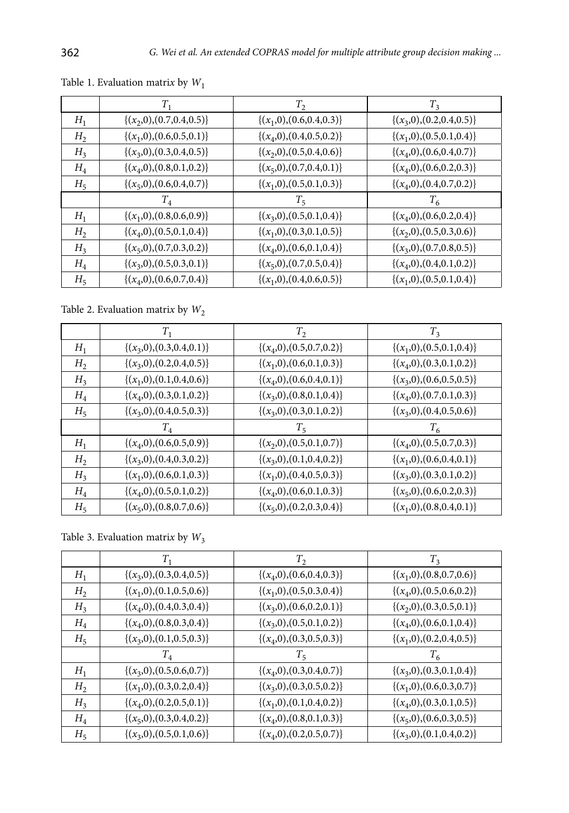|                | $T_1$                           | $T_2$                           | $T_3$                           |
|----------------|---------------------------------|---------------------------------|---------------------------------|
| $H_1$          | $\{(x_2,0), (0.7,0.4,0.5)\}\$   | $\{(x_1,0), (0.6, 0.4, 0.3)\}\$ | $\{(x_3,0), (0.2,0.4,0.5)\}\$   |
| H <sub>2</sub> | $\{(x_1,0), (0.6,0.5,0.1)\}\$   | $\{(x_4,0), (0.4, 0.5, 0.2)\}\$ | $\{(x_1,0), (0.5,0.1,0.4)\}\$   |
| $H_3$          | $\{(x_3,0), (0.3,0.4,0.5)\}\$   | $\{(x_2,0), (0.5,0.4,0.6)\}\$   | $\{(x_4,0), (0.6,0.4,0.7)\}\$   |
| $H_4$          | $\{(x_4,0), (0.8,0.1,0.2)\}\$   | $\{(x_5,0), (0.7,0.4,0.1)\}\$   | $\{(x_4,0), (0.6,0.2,0.3)\}\$   |
| $H_{5}$        | $\{(x_5,0), (0.6, 0.4, 0.7)\}\$ | $\{(x_1,0), (0.5,0.1,0.3)\}\$   | $\{(x_4,0), (0.4, 0.7, 0.2)\}$  |
|                | $T_{\scriptscriptstyle A}$      | $T_{5}$                         | $T_{\kappa}$                    |
| $H_1$          | $\{(x_1,0), (0.8,0.6,0.9)\}\$   | $\{(x_3,0), (0.5,0.1,0.4)\}$    | $\{(x_4,0), (0.6,0.2,0.4)\}$    |
| H <sub>2</sub> | $\{(x_4,0), (0.5,0.1,0.4)\}\$   | $\{(x_1,0), (0.3,0.1,0.5)\}\$   | $\{(x_2,0), (0.5,0.3,0.6)\}\$   |
| $H_3$          | $\{(x_5,0), (0.7,0.3,0.2)\}\$   | $\{(x_4,0), (0.6,0.1,0.4)\}$    | $\{(x_3,0), (0.7,0.8,0.5)\}\$   |
| $H_4$          | $\{(x_3,0),(0.5,0.3,0.1)\}\$    | $\{(x_5,0), (0.7,0.5,0.4)\}$    | $\{(x_4,0), (0.4, 0.1, 0.2)\}\$ |
| $H_5$          | $\{(x_4,0), (0.6,0.7,0.4)\}\$   | $\{(x_1,0), (0.4, 0.6, 0.5)\}\$ | $\{(x_1,0), (0.5,0.1,0.4)\}\$   |

Table 1. Evaluation matri*x* by *W*<sup>1</sup>

Table 2. Evaluation matrix by  $W_2$ 

|                | $T_{1}$                         | $T_2$                           | $T_3$                           |
|----------------|---------------------------------|---------------------------------|---------------------------------|
| $H_1$          | $\{(x_3,0),(0.3,0.4,0.1)\}\$    | $\{(x_4,0), (0.5,0.7,0.2)\}\$   | $\{(x_1,0), (0.5,0.1,0.4)\}\$   |
| H <sub>2</sub> | $\{(x_3,0), (0.2,0.4,0.5)\}\$   | $\{(x_1,0), (0.6, 0.1, 0.3)\}\$ | $\{(x_4,0), (0.3,0.1,0.2)\}\$   |
| $H_3$          | $\{(x_1,0), (0.1, 0.4, 0.6)\}\$ | $\{(x_4,0), (0.6, 0.4, 0.1)\}\$ | $\{(x_3,0), (0.6,0.5,0.5)\}\$   |
| $H_4$          | $\{(x_4,0), (0.3,0.1,0.2)\}\$   | $\{(x_3,0), (0.8,0.1,0.4)\}$    | $\{(x_4,0), (0.7,0.1,0.3)\}\$   |
| $H_5$          | $\{(x_3,0), (0.4, 0.5, 0.3)\}\$ | $\{(x_3,0), (0.3,0.1,0.2)\}\$   | $\{(x_3,0), (0.4, 0.5, 0.6)\}$  |
|                | $T_{\rm\scriptscriptstyle A}$   | $T_{5}$                         | $T_{\epsilon}$                  |
| $H_1$          | $\{(x_4,0), (0.6,0.5,0.9)\}\$   | $\{(x_2,0), (0.5,0.1,0.7)\}\$   | $\{(x_4,0), (0.5,0.7,0.3)\}\$   |
| H <sub>2</sub> | $\{(x_3,0), (0.4, 0.3, 0.2)\}\$ | $\{(x_3,0), (0.1,0.4,0.2)\}\$   | $\{(x_1,0), (0.6, 0.4, 0.1)\}\$ |
| H <sub>3</sub> | $\{(x_1,0), (0.6,0.1,0.3)\}\$   | $\{(x_1,0), (0.4, 0.5, 0.3)\}\$ | $\{(x_3,0), (0.3,0.1,0.2)\}\$   |
| $H_4$          | $\{(x_4,0), (0.5,0.1,0.2)\}\$   | $\{(x_4,0), (0.6,0.1,0.3)\}\$   | $\{(x_5,0), (0.6,0.2,0.3)\}\$   |
| $H_5$          | $\{(x_5,0),(0.8,0.7,0.6)\}\$    | $\{(x_5,0), (0.2,0.3,0.4)\}\$   | $\{(x_1,0), (0.8, 0.4, 0.1)\}\$ |

Table 3. Evaluation matrix by  $W_3$ 

|                | $T_1$                           | $T_2$                           | $T_3$                           |
|----------------|---------------------------------|---------------------------------|---------------------------------|
| $H_1$          | $\{(x_3,0),(0.3,0.4,0.5)\}\$    | $\{(x_4,0), (0.6, 0.4, 0.3)\}$  | $\{(x_1,0), (0.8,0.7,0.6)\}\$   |
| H <sub>2</sub> | $\{(x_1,0), (0.1, 0.5, 0.6)\}\$ | $\{(x_1,0), (0.5,0.3,0.4)\}\$   | $\{(x_4,0), (0.5,0.6,0.2)\}\$   |
| $H_3$          | $\{(x_4,0), (0.4, 0.3, 0.4)\}\$ | $\{(x_3,0), (0.6,0.2,0.1)\}\$   | $\{(x_2,0), (0.3,0.5,0.1)\}\$   |
| $H_4$          | $\{(x_4,0), (0.8,0.3,0.4)\}\$   | $\{(x_3,0), (0.5,0.1,0.2)\}\$   | $\{(x_4,0), (0.6,0.1,0.4)\}$    |
| $H_5$          | $\{(x_3,0), (0.1, 0.5, 0.3)\}\$ | $\{(x_4,0), (0.3,0.5,0.3)\}\$   | $\{(x_1,0), (0.2, 0.4, 0.5)\}\$ |
|                |                                 |                                 |                                 |
|                | $T_{4}$                         | $T_{5}$                         | $T_{6}$                         |
| $H_1$          | $\{(x_3,0), (0.5,0.6,0.7)\}\$   | $\{(x_4,0), (0.3,0.4,0.7)\}\$   | $\{(x_3,0), (0.3,0.1,0.4)\}$    |
| H <sub>2</sub> | $\{(x_1,0), (0.3, 0.2, 0.4)\}\$ | $\{(x_3,0), (0.3,0.5,0.2)\}\$   | $\{(x_1,0), (0.6,0.3,0.7)\}\$   |
| H <sub>3</sub> | $\{(x_4,0), (0.2,0.5,0.1)\}\$   | $\{(x_1,0), (0.1, 0.4, 0.2)\}\$ | $\{(x_4,0), (0.3,0.1,0.5)\}\$   |
| $H_4$          | $\{(x_5,0), (0.3, 0.4, 0.2)\}\$ | $\{(x_4,0), (0.8,0.1,0.3)\}\$   | $\{(x_5,0), (0.6,0.3,0.5)\}\$   |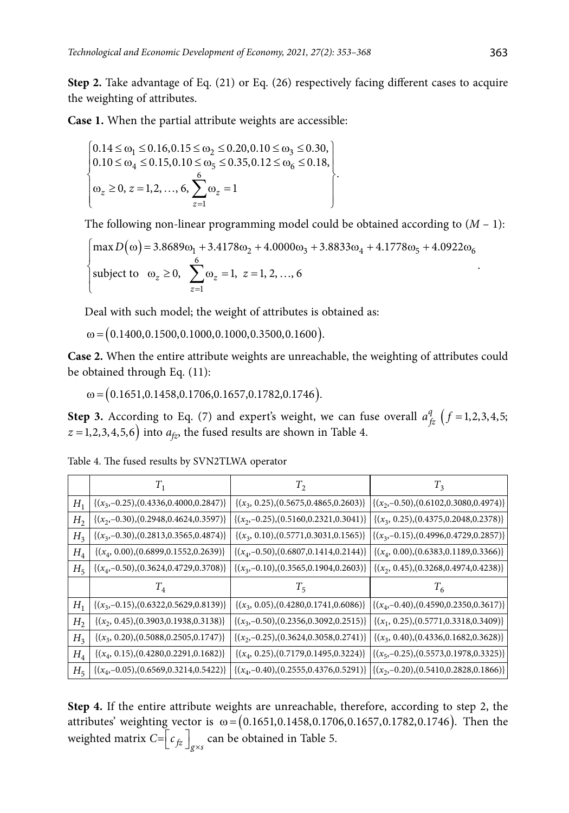**Step 2.** Take advantage of Eq. (21) or Eq. (26) respectively facing different cases to acquire the weighting of attributes.

**Case 1.** When the partial attribute weights are accessible:

$$
\begin{bmatrix} 0.14 \le \omega_1 \le 0.16, 0.15 \le \omega_2 \le 0.20, 0.10 \le \omega_3 \le 0.30, \\ 0.10 \le \omega_4 \le 0.15, 0.10 \le \omega_5 \le 0.35, 0.12 \le \omega_6 \le 0.18, \\ \omega_z \ge 0, z = 1, 2, ..., 6, \sum_{z=1}^{6} \omega_z = 1 \end{bmatrix}.
$$

The following non-linear programming model could be obtained according to  $(M - 1)$ :

$$
\begin{cases}\n\max D(\omega) = 3.8689\omega_1 + 3.4178\omega_2 + 4.0000\omega_3 + 3.8833\omega_4 + 4.1778\omega_5 + 4.0922\omega_6 \\
\text{subject to} \quad \omega_z \ge 0, \quad \sum_{z=1}^6 \omega_z = 1, \ z = 1, 2, ..., 6\n\end{cases}
$$

Deal with such model; the weight of attributes is obtained as:

 $\omega$  = (0.1400,0.1500,0.1000,0.1000,0.3500,0.1600).

**Case 2.** When the entire attribute weights are unreachable, the weighting of attributes could be obtained through Eq. (11):

 $\omega = (0.1651, 0.1458, 0.1706, 0.1657, 0.1782, 0.1746).$ 

**Step 3.** According to Eq. (7) and expert's weight, we can fuse overall  $a_{f\overline{z}}^q$  ( $f = 1,2,3,4,5;$  $(z = 1,2,3,4,5,6)$  into  $a_{tz}$ , the fused results are shown in Table 4.

Table 4. The fused results by SVN2TLWA operator

|                | $T_{1}$                                       | $T_{2}$                                       | $T_{3}$                                                                                    |
|----------------|-----------------------------------------------|-----------------------------------------------|--------------------------------------------------------------------------------------------|
| $H_1$          | $\{(x_3,-0.25),(0.4336,0.4000,0.2847)\}\$     | $\{(x_3, 0.25), (0.5675, 0.4865, 0.2603)\}\$  | $\{(x_2,-0.50),(0.6102,0.3080,0.4974)\}\$                                                  |
| H <sub>2</sub> | $\{(x_2,-0.30), (0.2948, 0.4624, 0.3597)\}$   | $\{(x_2,-0.25),(0.5160,0.2321,0.3041)\}\$     | $\{(x_3, 0.25), (0.4375, 0.2048, 0.2378)\}\$                                               |
| H <sub>3</sub> | $\{(x_3,-0.30),(0.2813,0.3565,0.4874)\}\$     | $\{(x_3, 0.10), (0.5771, 0.3031, 0.1565)\}\$  | $\{(x_3,-0.15),(0.4996,0.4729,0.2857)\}\$                                                  |
| $H_{4}$        | $\{(x_4, 0.00), (0.6899, 0.1552, 0.2639)\}\$  | $\{(x_4, -0.50), (0.6807, 0.1414, 0.2144)\}\$ | $\{(x_4, 0.00), (0.6383, 0.1189, 0.3366)\}\$                                               |
| $H_{5}$        | $\{(x_4,-0.50),(0.3624,0.4729,0.3708)\}\$     | $\{(x_3,-0.10),(0.3565,0.1904,0.2603)\}\$     | $\{(x_2, 0.45), (0.3268, 0.4974, 0.4238)\}\$                                               |
|                | $T_{4}$                                       | $T_{5}$                                       |                                                                                            |
| $H_1$          | $\{(x_3,-0.15),(0.6322,0.5629,0.8139)\}\$     | $\{(x_3, 0.05), (0.4280, 0.1741, 0.6086)\}\$  | $\{(x_4,-0.40),(0.4590,0.2350,0.3617)\}\$                                                  |
| H <sub>2</sub> | $\{(x_2, 0.45), (0.3903, 0.1938, 0.3138)\}\$  | $\{(x_3,-0.50),(0.2356,0.3092,0.2515)\}\$     | $\{(x_1, 0.25), (0.5771, 0.3318, 0.3409)\}\$                                               |
| $H_3$          | $\{(x_3, 0.20), (0.5088, 0.2505, 0.1747)\}\$  | $\{(x_2,-0.25),(0.3624,0.3058,0.2741)\}\$     | $\{(x_3, 0.40), (0.4336, 0.1682, 0.3628)\}\$                                               |
| $H_4$          | $\{(x_4, 0.15), (0.4280, 0.2291, 0.1682)\}\$  | $\{(x_4, 0.25), (0.7179, 0.1495, 0.3224)\}\$  | $\{(x_5, -0.25), (0.5573, 0.1978, 0.3325)\}\$                                              |
| $H_{5}$        | $\{(x_4, -0.05), (0.6569, 0.3214, 0.5422)\}\$ |                                               | $\{(x_4, -0.40), (0.2555, 0.4376, 0.5291)\}\  \{(x_2, -0.20), (0.5410, 0.2828, 0.1866)\}\$ |

**Step 4.** If the entire attribute weights are unreachable, therefore, according to step 2, the attributes' weighting vector is  $\omega = (0.1651, 0.1458, 0.1706, 0.1657, 0.1782, 0.1746)$ . Then the weighted matrix  $C = \left[ c_{fz} \right]_{g \times s}$  can be obtained in Table 5.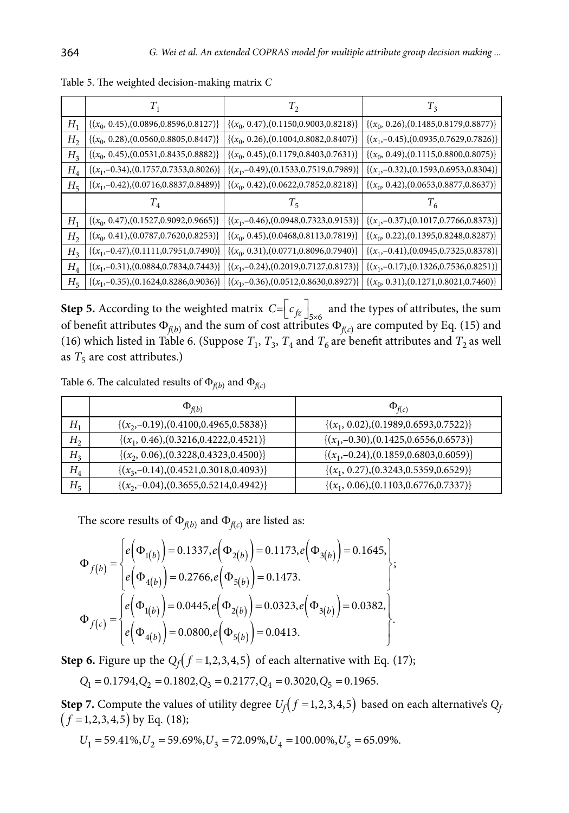|                             | Т,                                           | $T_{2}$                                                                                     | $T_{3}$                                       |
|-----------------------------|----------------------------------------------|---------------------------------------------------------------------------------------------|-----------------------------------------------|
| $H_{1}$                     | $\{(x_0, 0.45), (0.0896, 0.8596, 0.8127)\}\$ | $\{(x_0, 0.47), (0.1150, 0.9003, 0.8218)\}\$                                                | $\{(x_0, 0.26), (0.1485, 0.8179, 0.8877)\}\$  |
| H <sub>2</sub>              | $\{(x_0, 0.28), (0.0560, 0.8805, 0.8447)\}\$ | $\{(x_0, 0.26), (0.1004, 0.8082, 0.8407)\}\$                                                | $\{(x_1, -0.45), (0.0935, 0.7629, 0.7826)\}\$ |
| H <sub>3</sub>              | $\{(x_0, 0.45), (0.0531, 0.8435, 0.8882)\}$  | $\{(x_0, 0.45), (0.1179, 0.8403, 0.7631)\}\$                                                | $\{(x_0, 0.49), (0.1115, 0.8800, 0.8075)\}\$  |
| $H_4$                       | $\{(x_1, -0.34), (0.1757, 0.7353, 0.8026)\}$ | $\{(x_1,-0.49), (0.1533,0.7519,0.7989)\}\$                                                  | $\{(x_1, -0.32), (0.1593, 0.6953, 0.8304)\}\$ |
| $H_{5}$                     | $\{(x_1,-0.42),(0.0716,0.8837,0.8489)\}\$    | $\{(x_0, 0.42), (0.0622, 0.7852, 0.8218)\}\$                                                | $\{(x_0, 0.42), (0.0653, 0.8877, 0.8637)\}\$  |
|                             | $T_{4}$                                      | Ί,                                                                                          | $T_{6}$                                       |
| $H_1$                       | $\{(x_0, 0.47), (0.1527, 0.9092, 0.9665)\}\$ | $\{(x_1,-0.46),(0.0948,0.7323,0.9153)\}\$                                                   | $\{(x_1, -0.37), (0.1017, 0.7766, 0.8373)\}$  |
| H <sub>2</sub>              | $\{(x_0, 0.41), (0.0787, 0.7620, 0.8253)\}$  | $\{(x_0, 0.45), (0.0468, 0.8113, 0.7819)\}$                                                 | $\{(x_0, 0.22), (0.1395, 0.8248, 0.8287)\}\$  |
| H <sub>3</sub>              | $\{(x_1, -0.47), (0.1111, 0.7951, 0.7490)\}$ | $\{(x_0, 0.31), (0.0771, 0.8096, 0.7940)\}\$                                                | $\{(x_1, -0.41), (0.0945, 0.7325, 0.8378)\}\$ |
| $H_{\scriptscriptstyle{A}}$ | $\{(x_1, -0.31), (0.0884, 0.7834, 0.7443)\}$ | $\{(x_1, -0.24), (0.2019, 0.7127, 0.8173)\}$                                                | $\{(x_1, -0.17), (0.1326, 0.7536, 0.8251)\}\$ |
| $H_{5}$                     |                                              | $\{(x_1, -0.35), (0.1624, 0.8286, 0.9036)\}\   \{(x_1, -0.36), (0.0512, 0.8630, 0.8927)\}\$ | $\{(x_0, 0.31), (0.1271, 0.8021, 0.7460)\}\$  |

Table 5. The weighted decision-making matrix *C*

**Step 5.** According to the weighted matrix  $C = \left[ c_{fz} \right]_{5 \times 6}$  and the types of attributes, the sum of benefit attributes  $\Phi_{f(b)}$  and the sum of cost attributes  $\Phi_{f(c)}$  are computed by Eq. (15) and (16) which listed in Table 6. (Suppose  $T_1$ ,  $T_3$ ,  $T_4$  and  $T_6$  are benefit attributes and  $T_2$  as well as  $T_5$  are cost attributes.)

Table 6. The calculated results of  $\Phi_{f(b)}$  and  $\Phi_{f(c)}$ 

|                | $\Phi_{f(b)}$                                | $\Phi_{f(c)}$                                 |
|----------------|----------------------------------------------|-----------------------------------------------|
| $H_1$          | $\{(x_2,-0.19), (0.4100, 0.4965, 0.5838)\}\$ | $\{(x_1, 0.02), (0.1989, 0.6593, 0.7522)\}\$  |
| H <sub>2</sub> | $\{(x_1, 0.46), (0.3216, 0.4222, 0.4521)\}\$ | $\{(x_1,-0.30), (0.1425,0.6556,0.6573)\}\$    |
| $H_3$          | $\{(x_2, 0.06), (0.3228, 0.4323, 0.4500)\}\$ | $\{(x_1, -0.24), (0.1859, 0.6803, 0.6059)\}\$ |
| $H_4$          | $\{(x_3,-0.14),(0.4521,0.3018,0.4093)\}\$    | $\{(x_1, 0.27), (0.3243, 0.5359, 0.6529)\}\$  |
| $H_5$          | $\{(x_2,-0.04),(0.3655,0.5214,0.4942)\}\$    | $\{(x_1, 0.06), (0.1103, 0.6776, 0.7337)\}\$  |

The score results of  $\Phi_{f(b)}$  and  $\Phi_{f(c)}$  are listed as:

$$
\Phi_{f(b)} = \begin{cases} e(\Phi_{1(b)}) = 0.1337, e(\Phi_{2(b)}) = 0.1173, e(\Phi_{3(b)}) = 0.1645, \\ e(\Phi_{4(b)}) = 0.2766, e(\Phi_{5(b)}) = 0.1473. \end{cases};
$$
  
\n
$$
\Phi_{f(c)} = \begin{cases} e(\Phi_{1(b)}) = 0.0445, e(\Phi_{2(b)}) = 0.0323, e(\Phi_{3(b)}) = 0.0382, \\ e(\Phi_{4(b)}) = 0.0800, e(\Phi_{5(b)}) = 0.0413. \end{cases};
$$

**Step 6.** Figure up the  $Q_f(f=1,2,3,4,5)$  of each alternative with Eq. (17);

$$
Q_1=0.1794, Q_2=0.1802, Q_3=0.2177, Q_4=0.3020, Q_5=0.1965.
$$

**Step 7.** Compute the values of utility degree  $U_f(f=1,2,3,4,5)$  based on each alternative's  $Q_f$  $(f = 1, 2, 3, 4, 5)$  by Eq. (18);

$$
U_1 = 59.41\%, U_2 = 59.69\%, U_3 = 72.09\%, U_4 = 100.00\%, U_5 = 65.09\%.
$$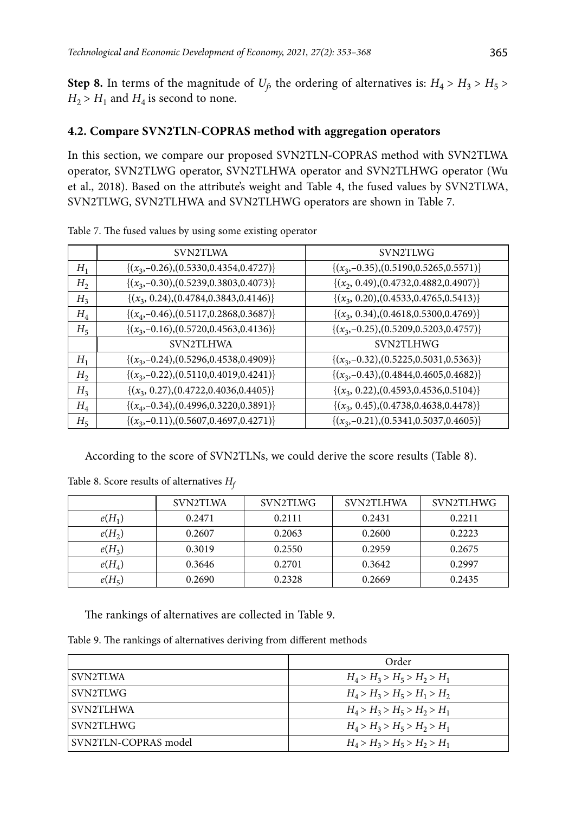**Step 8.** In terms of the magnitude of  $U_f$  the ordering of alternatives is:  $H_4 > H_3 > H_5$  $H_2$  >  $H_1$  and  $H_4$  is second to none.

## **4.2. Compare SVN2TLN-COPRAS method with aggregation operators**

In this section, we compare our proposed SVN2TLN**-**COPRAS method with SVN2TLWA operator, SVN2TLWG operator, SVN2TLHWA operator and SVN2TLHWG operator (Wu et al., 2018). Based on the attribute's weight and Table 4, the fused values by SVN2TLWA, SVN2TLWG, SVN2TLHWA and SVN2TLHWG operators are shown in Table 7.

|                | SVN2TLWA                                     | SVN2TLWG                                     |
|----------------|----------------------------------------------|----------------------------------------------|
| $H_1$          | $\{(x_3,-0.26),(0.5330,0.4354,0.4727)\}\$    | $\{(x_3,-0.35),(0.5190,0.5265,0.5571)\}\$    |
| H <sub>2</sub> | $\{(x_3,-0.30),(0.5239,0.3803,0.4073)\}\$    | $\{(x_2, 0.49), (0.4732, 0.4882, 0.4907)\}$  |
| H <sub>3</sub> | $\{(x_3, 0.24), (0.4784, 0.3843, 0.4146)\}\$ | $\{(x_3, 0.20), (0.4533, 0.4765, 0.5413)\}$  |
| $H_4$          | $\{(x_4, -0.46), (0.5117, 0.2868, 0.3687)\}$ | $\{(x_3, 0.34), (0.4618, 0.5300, 0.4769)\}$  |
| $H_5$          | $\{(x_3,-0.16),(0.5720,0.4563,0.4136)\}\$    | $\{(x_3,-0.25),(0.5209,0.5203,0.4757)\}\$    |
|                | <b>SVN2TLHWA</b>                             | SVN2TLHWG                                    |
| $H_1$          | $\{(x_3,-0.24),(0.5296,0.4538,0.4909)\}\$    | $\{(x_3,-0.32),(0.5225,0.5031,0.5363)\}\$    |
| H <sub>2</sub> | $\{(x_3,-0.22),(0.5110,0.4019,0.4241)\}\$    | $\{(x_3,-0.43), (0.4844, 0.4605, 0.4682)\}\$ |
| H <sub>3</sub> | $\{(x_3, 0.27), (0.4722, 0.4036, 0.4405)\}$  | $\{(x_3, 0.22), (0.4593, 0.4536, 0.5104)\}\$ |
| $H_4$          | $\{(x_4, -0.34), (0.4996, 0.3220, 0.3891)\}$ | $\{(x_3, 0.45), (0.4738, 0.4638, 0.4478)\}\$ |
| $H_5$          | $\{(x_3,-0.11),(0.5607,0.4697,0.4271)\}\$    | $\{(x_3,-0.21),(0.5341,0.5037,0.4605)\}\$    |

Table 7. The fused values by using some existing operator

According to the score of SVN2TLNs, we could derive the score results (Table 8).

|          | SVN2TLWA | SVN2TLWG | SVN2TLHWA | SVN2TLHWG |
|----------|----------|----------|-----------|-----------|
| $e(H_1)$ | 0.2471   | 0.2111   | 0.2431    | 0.2211    |
| $e(H_2)$ | 0.2607   | 0.2063   | 0.2600    | 0.2223    |
| $e(H_3)$ | 0.3019   | 0.2550   | 0.2959    | 0.2675    |
| $e(H_4)$ | 0.3646   | 0.2701   | 0.3642    | 0.2997    |
| $e(H_5)$ | 0.2690   | 0.2328   | 0.2669    | 0.2435    |

Table 8. Score results of alternatives *Hf*

The rankings of alternatives are collected in Table 9.

Table 9. The rankings of alternatives deriving from different methods

|                      | Order                         |
|----------------------|-------------------------------|
| SVN2TLWA             | $H_4 > H_3 > H_5 > H_2 > H_1$ |
| SVN2TLWG             | $H_4 > H_3 > H_5 > H_1 > H_2$ |
| SVN2TLHWA            | $H_4 > H_3 > H_5 > H_2 > H_1$ |
| SVN2TLHWG            | $H_4 > H_3 > H_5 > H_2 > H_1$ |
| SVN2TLN-COPRAS model | $H_4 > H_3 > H_5 > H_2 > H_1$ |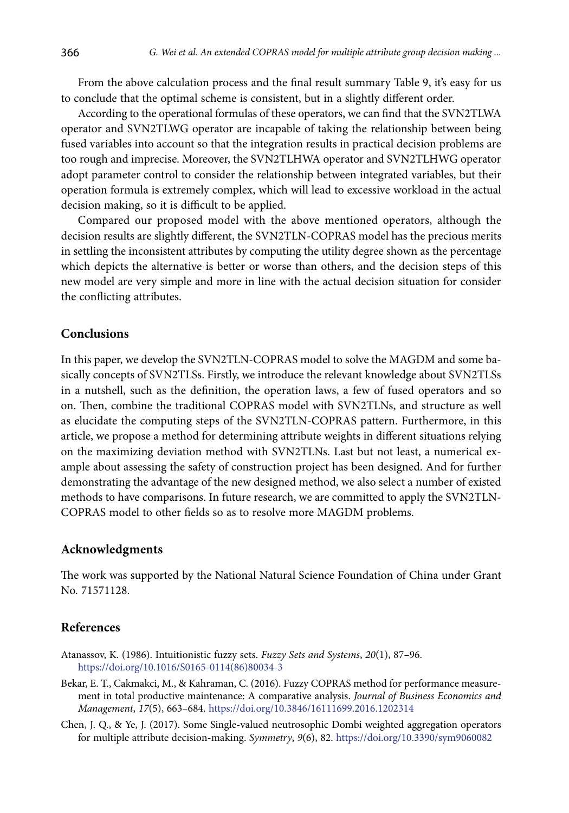From the above calculation process and the final result summary Table 9, it's easy for us to conclude that the optimal scheme is consistent, but in a slightly different order.

According to the operational formulas of these operators, we can find that the SVN2TLWA operator and SVN2TLWG operator are incapable of taking the relationship between being fused variables into account so that the integration results in practical decision problems are too rough and imprecise. Moreover, the SVN2TLHWA operator and SVN2TLHWG operator adopt parameter control to consider the relationship between integrated variables, but their operation formula is extremely complex, which will lead to excessive workload in the actual decision making, so it is difficult to be applied.

Compared our proposed model with the above mentioned operators, although the decision results are slightly different, the SVN2TLN-COPRAS model has the precious merits in settling the inconsistent attributes by computing the utility degree shown as the percentage which depicts the alternative is better or worse than others, and the decision steps of this new model are very simple and more in line with the actual decision situation for consider the conflicting attributes.

## **Conclusions**

In this paper, we develop the SVN2TLN-COPRAS model to solve the MAGDM and some basically concepts of SVN2TLSs. Firstly, we introduce the relevant knowledge about SVN2TLSs in a nutshell, such as the definition, the operation laws, a few of fused operators and so on. Then, combine the traditional COPRAS model with SVN2TLNs, and structure as well as elucidate the computing steps of the SVN2TLN-COPRAS pattern. Furthermore, in this article, we propose a method for determining attribute weights in different situations relying on the maximizing deviation method with SVN2TLNs. Last but not least, a numerical example about assessing the safety of construction project has been designed. And for further demonstrating the advantage of the new designed method, we also select a number of existed methods to have comparisons. In future research, we are committed to apply the SVN2TLN-COPRAS model to other fields so as to resolve more MAGDM problems.

#### **Acknowledgments**

The work was supported by the National Natural Science Foundation of China under Grant No. 71571128.

## **References**

- Atanassov, K. (1986). Intuitionistic fuzzy sets. *Fuzzy Sets and Systems*, *20*(1), 87–96. https://doi.org/10.1016/S0165-0114(86)80034-3
- Bekar, E. T., Cakmakci, M., & Kahraman, C. (2016). Fuzzy COPRAS method for performance measurement in total productive maintenance: A comparative analysis. *Journal of Business Economics and Management*, *17*(5), 663–684. https://doi.org/10.3846/16111699.2016.1202314
- Chen, J. Q., & Ye, J. (2017). Some Single-valued neutrosophic Dombi weighted aggregation operators for multiple attribute decision-making. *Symmetry*, *9*(6), 82. https://doi.org/10.3390/sym9060082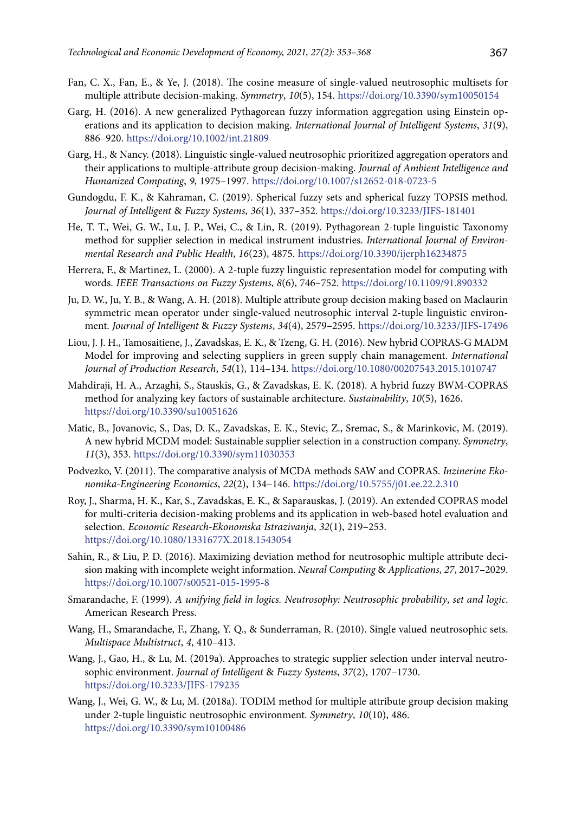- Fan, C. X., Fan, E., & Ye, J. (2018). The cosine measure of single-valued neutrosophic multisets for multiple attribute decision-making. *Symmetry*, *10*(5), 154. https://doi.org/10.3390/sym10050154
- Garg, H. (2016). A new generalized Pythagorean fuzzy information aggregation using Einstein operations and its application to decision making. *International Journal of Intelligent Systems*, *31*(9), 886–920. https://doi.org/10.1002/int.21809
- Garg, H., & Nancy. (2018). Linguistic single-valued neutrosophic prioritized aggregation operators and their applications to multiple-attribute group decision-making. *Journal of Ambient Intelligence and Humanized Computing*, *9*, 1975–1997. https://doi.org/10.1007/s12652-018-0723-5
- Gundogdu, F. K., & Kahraman, C. (2019). Spherical fuzzy sets and spherical fuzzy TOPSIS method. *Journal of Intelligent* & *Fuzzy Systems*, *36*(1), 337–352. https://doi.org/10.3233/JIFS-181401
- He, T. T., Wei, G. W., Lu, J. P., Wei, C., & Lin, R. (2019). Pythagorean 2-tuple linguistic Taxonomy method for supplier selection in medical instrument industries. *International Journal of Environmental Research and Public Health*, *16*(23), 4875. https://doi.org/10.3390/ijerph16234875
- Herrera, F., & Martinez, L. (2000). A 2-tuple fuzzy linguistic representation model for computing with words. *IEEE Transactions on Fuzzy Systems*, *8*(6), 746–752. https://doi.org/10.1109/91.890332
- Ju, D. W., Ju, Y. B., & Wang, A. H. (2018). Multiple attribute group decision making based on Maclaurin symmetric mean operator under single-valued neutrosophic interval 2-tuple linguistic environment. *Journal of Intelligent* & *Fuzzy Systems*, *34*(4), 2579–2595. https://doi.org/10.3233/JIFS-17496
- Liou, J. J. H., Tamosaitiene, J., Zavadskas, E. K., & Tzeng, G. H. (2016). New hybrid COPRAS-G MADM Model for improving and selecting suppliers in green supply chain management. *International Journal of Production Research*, *54*(1), 114–134. https://doi.org/10.1080/00207543.2015.1010747
- Mahdiraji, H. A., Arzaghi, S., Stauskis, G., & Zavadskas, E. K. (2018). A hybrid fuzzy BWM-COPRAS method for analyzing key factors of sustainable architecture. *Sustainability*, *10*(5), 1626. https://doi.org/10.3390/su10051626
- Matic, B., Jovanovic, S., Das, D. K., Zavadskas, E. K., Stevic, Z., Sremac, S., & Marinkovic, M. (2019). A new hybrid MCDM model: Sustainable supplier selection in a construction company. *Symmetry*, *11*(3), 353. https://doi.org/10.3390/sym11030353
- Podvezko, V. (2011). The comparative analysis of MCDA methods SAW and COPRAS. *Inzinerine Ekonomika-Engineering Economics*, *22*(2), 134–146. https://doi.org/10.5755/j01.ee.22.2.310
- Roy, J., Sharma, H. K., Kar, S., Zavadskas, E. K., & Saparauskas, J. (2019). An extended COPRAS model for multi-criteria decision-making problems and its application in web-based hotel evaluation and selection. *Economic Research-Ekonomska Istrazivanja*, *32*(1), 219–253. https://doi.org/10.1080/1331677X.2018.1543054
- Sahin, R., & Liu, P. D. (2016). Maximizing deviation method for neutrosophic multiple attribute decision making with incomplete weight information. *Neural Computing* & *Applications*, *27*, 2017–2029. https://doi.org/10.1007/s00521-015-1995-8
- Smarandache, F. (1999). *A unifying field in logics. Neutrosophy: Neutrosophic probability*, *set and logic*. American Research Press.
- Wang, H., Smarandache, F., Zhang, Y. Q., & Sunderraman, R. (2010). Single valued neutrosophic sets. *Multispace Multistruct*, *4*, 410–413.
- Wang, J., Gao, H., & Lu, M. (2019a). Approaches to strategic supplier selection under interval neutrosophic environment. *Journal of Intelligent* & *Fuzzy Systems*, *37*(2), 1707–1730. <https://doi.org/10.3233/JIFS-179235>
- Wang, J., Wei, G. W., & Lu, M. (2018a). TODIM method for multiple attribute group decision making under 2-tuple linguistic neutrosophic environment. *Symmetry*, *10*(10), 486. https://doi.org/10.3390/sym10100486